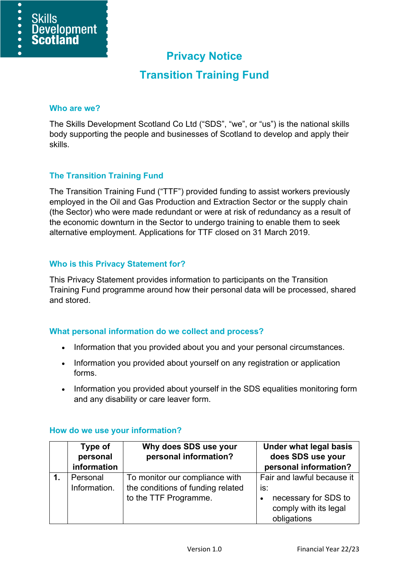# **Privacy Notice**

## **Transition Training Fund**

#### **Who are we?**

 $\overline{\bullet}$  $\bullet$ 

 $\bullet$ 

**Skills** 

Development

**Scotland** 

The Skills Development Scotland Co Ltd ("SDS", "we", or "us") is the national skills body supporting the people and businesses of Scotland to develop and apply their skills.

#### **The Transition Training Fund**

The Transition Training Fund ("TTF") provided funding to assist workers previously employed in the Oil and Gas Production and Extraction Sector or the supply chain (the Sector) who were made redundant or were at risk of redundancy as a result of the economic downturn in the Sector to undergo training to enable them to seek alternative employment. Applications for TTF closed on 31 March 2019.

#### **Who is this Privacy Statement for?**

This Privacy Statement provides information to participants on the Transition Training Fund programme around how their personal data will be processed, shared and stored.

#### **What personal information do we collect and process?**

- Information that you provided about you and your personal circumstances.
- Information you provided about yourself on any registration or application forms.
- Information you provided about yourself in the SDS equalities monitoring form and any disability or care leaver form.

| Type of<br>personal      | Why does SDS use your<br>personal information?                                               | <b>Under what legal basis</b><br>does SDS use your                                                |
|--------------------------|----------------------------------------------------------------------------------------------|---------------------------------------------------------------------------------------------------|
| information              |                                                                                              | personal information?                                                                             |
| Personal<br>Information. | To monitor our compliance with<br>the conditions of funding related<br>to the TTF Programme. | Fair and lawful because it<br>is:<br>necessary for SDS to<br>comply with its legal<br>obligations |

#### **How do we use your information?**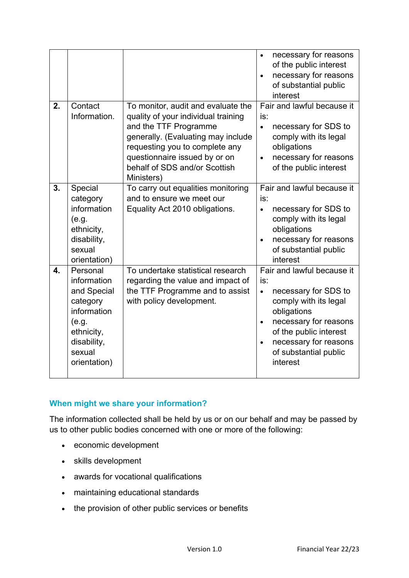|    |                                                                                                                                   |                                                                                                                                                                                                                                                            | necessary for reasons<br>$\bullet$<br>of the public interest<br>necessary for reasons<br>of substantial public<br>interest                                                                                                                   |
|----|-----------------------------------------------------------------------------------------------------------------------------------|------------------------------------------------------------------------------------------------------------------------------------------------------------------------------------------------------------------------------------------------------------|----------------------------------------------------------------------------------------------------------------------------------------------------------------------------------------------------------------------------------------------|
| 2. | Contact<br>Information.                                                                                                           | To monitor, audit and evaluate the<br>quality of your individual training<br>and the TTF Programme<br>generally. (Evaluating may include<br>requesting you to complete any<br>questionnaire issued by or on<br>behalf of SDS and/or Scottish<br>Ministers) | Fair and lawful because it<br>is:<br>necessary for SDS to<br>$\bullet$<br>comply with its legal<br>obligations<br>necessary for reasons<br>of the public interest                                                                            |
| 3. | Special<br>category<br>information<br>(e.g.<br>ethnicity,<br>disability,<br>sexual<br>orientation)                                | To carry out equalities monitoring<br>and to ensure we meet our<br>Equality Act 2010 obligations.                                                                                                                                                          | Fair and lawful because it<br>is:<br>necessary for SDS to<br>$\bullet$<br>comply with its legal<br>obligations<br>necessary for reasons<br>$\bullet$<br>of substantial public<br>interest                                                    |
| 4. | Personal<br>information<br>and Special<br>category<br>information<br>(e.g.<br>ethnicity,<br>disability,<br>sexual<br>orientation) | To undertake statistical research<br>regarding the value and impact of<br>the TTF Programme and to assist<br>with policy development.                                                                                                                      | Fair and lawful because it<br>is:<br>necessary for SDS to<br>$\bullet$<br>comply with its legal<br>obligations<br>necessary for reasons<br>$\bullet$<br>of the public interest<br>necessary for reasons<br>of substantial public<br>interest |

## **When might we share your information?**

The information collected shall be held by us or on our behalf and may be passed by us to other public bodies concerned with one or more of the following:

- economic development
- skills development
- awards for vocational qualifications
- maintaining educational standards
- the provision of other public services or benefits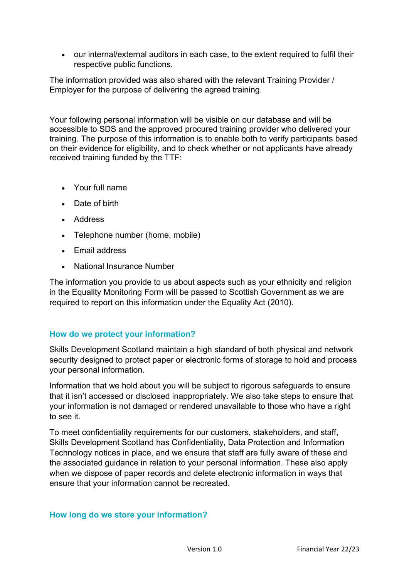• our internal/external auditors in each case, to the extent required to fulfil their respective public functions.

The information provided was also shared with the relevant Training Provider / Employer for the purpose of delivering the agreed training.

Your following personal information will be visible on our database and will be accessible to SDS and the approved procured training provider who delivered your training. The purpose of this information is to enable both to verify participants based on their evidence for eligibility, and to check whether or not applicants have already received training funded by the TTF:

- Your full name
- Date of birth
- Address
- Telephone number (home, mobile)
- Email address
- National Insurance Number

The information you provide to us about aspects such as your ethnicity and religion in the Equality Monitoring Form will be passed to Scottish Government as we are required to report on this information under the Equality Act (2010).

#### **How do we protect your information?**

Skills Development Scotland maintain a high standard of both physical and network security designed to protect paper or electronic forms of storage to hold and process your personal information.

Information that we hold about you will be subject to rigorous safeguards to ensure that it isn't accessed or disclosed inappropriately. We also take steps to ensure that your information is not damaged or rendered unavailable to those who have a right to see it.

To meet confidentiality requirements for our customers, stakeholders, and staff, Skills Development Scotland has Confidentiality, Data Protection and Information Technology notices in place, and we ensure that staff are fully aware of these and the associated guidance in relation to your personal information. These also apply when we dispose of paper records and delete electronic information in ways that ensure that your information cannot be recreated.

#### **How long do we store your information?**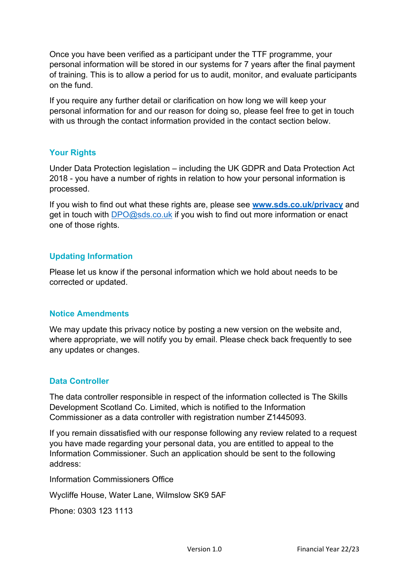Once you have been verified as a participant under the TTF programme, your personal information will be stored in our systems for 7 years after the final payment of training. This is to allow a period for us to audit, monitor, and evaluate participants on the fund.

If you require any further detail or clarification on how long we will keep your personal information for and our reason for doing so, please feel free to get in touch with us through the contact information provided in the contact section below.

### **Your Rights**

Under Data Protection legislation – including the UK GDPR and Data Protection Act 2018 - you have a number of rights in relation to how your personal information is processed.

If you wish to find out what these rights are, please see **[www.sds.co.uk/privacy](http://www.sds.co.uk/privacy)** and get in touch with [DPO@sds.co.uk](mailto:DPO@sds.co.uk) if you wish to find out more information or enact one of those rights.

#### **Updating Information**

Please let us know if the personal information which we hold about needs to be corrected or updated.

#### **Notice Amendments**

We may update this privacy notice by posting a new version on the website and, where appropriate, we will notify you by email. Please check back frequently to see any updates or changes.

#### **Data Controller**

The data controller responsible in respect of the information collected is The Skills Development Scotland Co. Limited, which is notified to the Information Commissioner as a data controller with registration number Z1445093.

If you remain dissatisfied with our response following any review related to a request you have made regarding your personal data, you are entitled to appeal to the Information Commissioner. Such an application should be sent to the following address:

Information Commissioners Office

Wycliffe House, Water Lane, Wilmslow SK9 5AF

Phone: 0303 123 1113